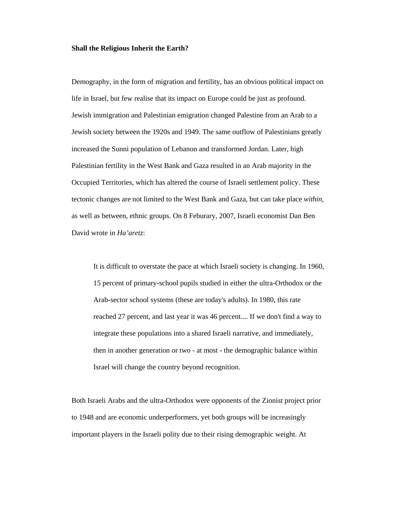## **Shall the Religious Inherit the Earth?**

Demography, in the form of migration and fertility, has an obvious political impact on life in Israel, but few realise that its impact on Europe could be just as profound. Jewish immigration and Palestinian emigration changed Palestine from an Arab to a Jewish society between the 1920s and 1949. The same outflow of Palestinians greatly increased the Sunni population of Lebanon and transformed Jordan. Later, high Palestinian fertility in the West Bank and Gaza resulted in an Arab majority in the Occupied Territories, which has altered the course of Israeli settlement policy. These tectonic changes are not limited to the West Bank and Gaza, but can take place *within*, as well as between, ethnic groups. On 8 Feburary, 2007, Israeli economist Dan Ben David wrote in *Ha'aretz*:

It is difficult to overstate the pace at which Israeli society is changing. In 1960, 15 percent of primary-school pupils studied in either the ultra-Orthodox or the Arab-sector school systems (these are today's adults). In 1980, this rate reached 27 percent, and last year it was 46 percent.... If we don't find a way to integrate these populations into a shared Israeli narrative, and immediately, then in another generation or two - at most - the demographic balance within Israel will change the country beyond recognition.

Both Israeli Arabs and the ultra-Orthodox were opponents of the Zionist project prior to 1948 and are economic underperformers, yet both groups will be increasingly important players in the Israeli polity due to their rising demographic weight. At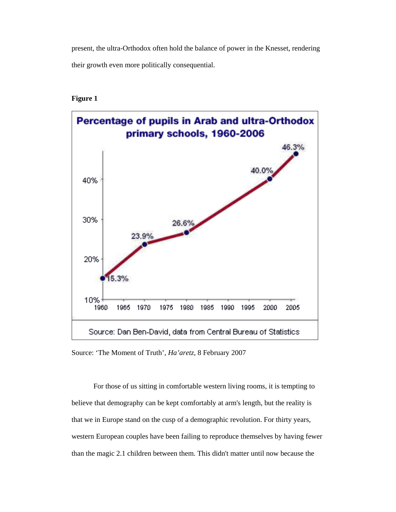present, the ultra-Orthodox often hold the balance of power in the Knesset, rendering their growth even more politically consequential.

## **Figure 1**



Source: 'The Moment of Truth', *Ha'aretz*, 8 February 2007

 For those of us sitting in comfortable western living rooms, it is tempting to believe that demography can be kept comfortably at arm's length, but the reality is that we in Europe stand on the cusp of a demographic revolution. For thirty years, western European couples have been failing to reproduce themselves by having fewer than the magic 2.1 children between them. This didn't matter until now because the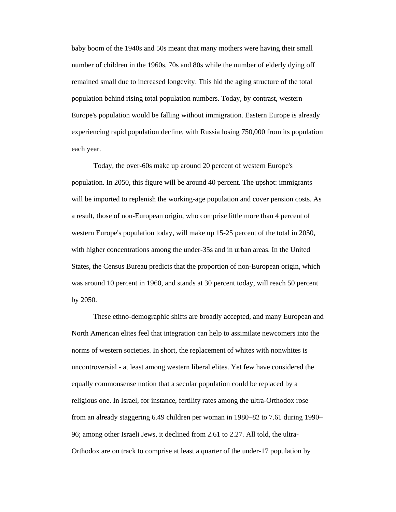baby boom of the 1940s and 50s meant that many mothers were having their small number of children in the 1960s, 70s and 80s while the number of elderly dying off remained small due to increased longevity. This hid the aging structure of the total population behind rising total population numbers. Today, by contrast, western Europe's population would be falling without immigration. Eastern Europe is already experiencing rapid population decline, with Russia losing 750,000 from its population each year.

 Today, the over-60s make up around 20 percent of western Europe's population. In 2050, this figure will be around 40 percent. The upshot: immigrants will be imported to replenish the working-age population and cover pension costs. As a result, those of non-European origin, who comprise little more than 4 percent of western Europe's population today, will make up 15-25 percent of the total in 2050, with higher concentrations among the under-35s and in urban areas. In the United States, the Census Bureau predicts that the proportion of non-European origin, which was around 10 percent in 1960, and stands at 30 percent today, will reach 50 percent by 2050.

These ethno-demographic shifts are broadly accepted, and many European and North American elites feel that integration can help to assimilate newcomers into the norms of western societies. In short, the replacement of whites with nonwhites is uncontroversial - at least among western liberal elites. Yet few have considered the equally commonsense notion that a secular population could be replaced by a religious one. In Israel, for instance, fertility rates among the ultra-Orthodox rose from an already staggering 6.49 children per woman in 1980–82 to 7.61 during 1990– 96; among other Israeli Jews, it declined from 2.61 to 2.27. All told, the ultra-Orthodox are on track to comprise at least a quarter of the under-17 population by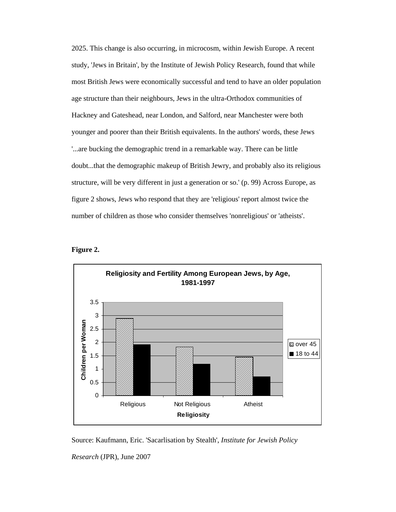2025. This change is also occurring, in microcosm, within Jewish Europe. A recent study, 'Jews in Britain', by the Institute of Jewish Policy Research, found that while most British Jews were economically successful and tend to have an older population age structure than their neighbours, Jews in the ultra-Orthodox communities of Hackney and Gateshead, near London, and Salford, near Manchester were both younger and poorer than their British equivalents. In the authors' words, these Jews '...are bucking the demographic trend in a remarkable way. There can be little doubt...that the demographic makeup of British Jewry, and probably also its religious structure, will be very different in just a generation or so.' (p. 99) Across Europe, as figure 2 shows, Jews who respond that they are 'religious' report almost twice the number of children as those who consider themselves 'nonreligious' or 'atheists'.





Source: Kaufmann, Eric. 'Sacarlisation by Stealth', *Institute for Jewish Policy* 

*Research* (JPR), June 2007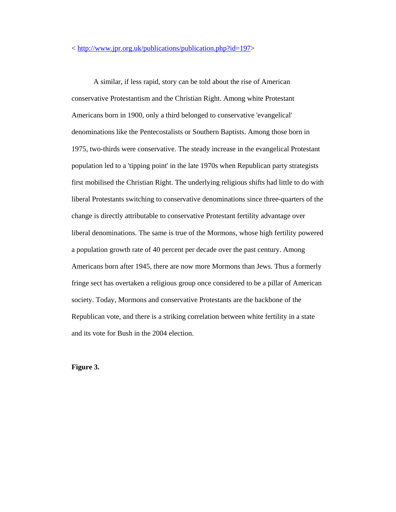A similar, if less rapid, story can be told about the rise of American conservative Protestantism and the Christian Right. Among white Protestant Americans born in 1900, only a third belonged to conservative 'evangelical' denominations like the Pentecostalists or Southern Baptists. Among those born in 1975, two-thirds were conservative. The steady increase in the evangelical Protestant population led to a 'tipping point' in the late 1970s when Republican party strategists first mobilised the Christian Right. The underlying religious shifts had little to do with liberal Protestants switching to conservative denominations since three-quarters of the change is directly attributable to conservative Protestant fertility advantage over liberal denominations. The same is true of the Mormons, whose high fertility powered a population growth rate of 40 percent per decade over the past century. Among Americans born after 1945, there are now more Mormons than Jews. Thus a formerly fringe sect has overtaken a religious group once considered to be a pillar of American society. Today, Mormons and conservative Protestants are the backbone of the Republican vote, and there is a striking correlation between white fertility in a state and its vote for Bush in the 2004 election.

**Figure 3.**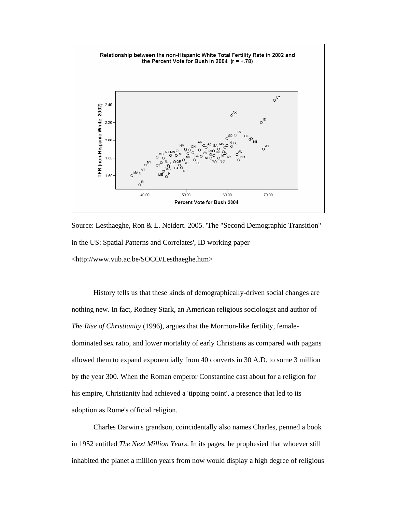

Source: Lesthaeghe, Ron & L. Neidert. 2005. 'The "Second Demographic Transition" in the US: Spatial Patterns and Correlates', ID working paper <http://www.vub.ac.be/SOCO/Lesthaeghe.htm>

 History tells us that these kinds of demographically-driven social changes are nothing new. In fact, Rodney Stark, an American religious sociologist and author of *The Rise of Christianity* (1996), argues that the Mormon-like fertility, femaledominated sex ratio, and lower mortality of early Christians as compared with pagans allowed them to expand exponentially from 40 converts in 30 A.D. to some 3 million by the year 300. When the Roman emperor Constantine cast about for a religion for his empire, Christianity had achieved a 'tipping point', a presence that led to its adoption as Rome's official religion.

Charles Darwin's grandson, coincidentally also names Charles, penned a book in 1952 entitled *The Next Million Years*. In its pages, he prophesied that whoever still inhabited the planet a million years from now would display a high degree of religious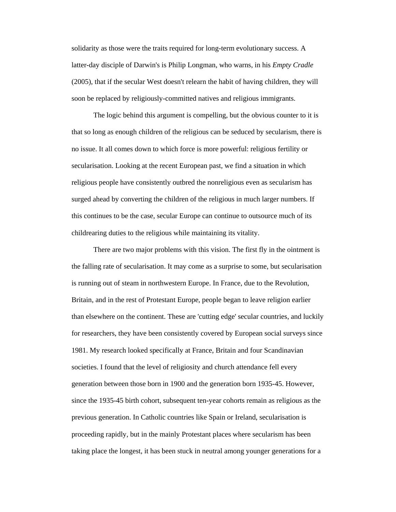solidarity as those were the traits required for long-term evolutionary success. A latter-day disciple of Darwin's is Philip Longman, who warns, in his *Empty Cradle*  (2005), that if the secular West doesn't relearn the habit of having children, they will soon be replaced by religiously-committed natives and religious immigrants.

The logic behind this argument is compelling, but the obvious counter to it is that so long as enough children of the religious can be seduced by secularism, there is no issue. It all comes down to which force is more powerful: religious fertility or secularisation. Looking at the recent European past, we find a situation in which religious people have consistently outbred the nonreligious even as secularism has surged ahead by converting the children of the religious in much larger numbers. If this continues to be the case, secular Europe can continue to outsource much of its childrearing duties to the religious while maintaining its vitality.

There are two major problems with this vision. The first fly in the ointment is the falling rate of secularisation. It may come as a surprise to some, but secularisation is running out of steam in northwestern Europe. In France, due to the Revolution, Britain, and in the rest of Protestant Europe, people began to leave religion earlier than elsewhere on the continent. These are 'cutting edge' secular countries, and luckily for researchers, they have been consistently covered by European social surveys since 1981. My research looked specifically at France, Britain and four Scandinavian societies. I found that the level of religiosity and church attendance fell every generation between those born in 1900 and the generation born 1935-45. However, since the 1935-45 birth cohort, subsequent ten-year cohorts remain as religious as the previous generation. In Catholic countries like Spain or Ireland, secularisation is proceeding rapidly, but in the mainly Protestant places where secularism has been taking place the longest, it has been stuck in neutral among younger generations for a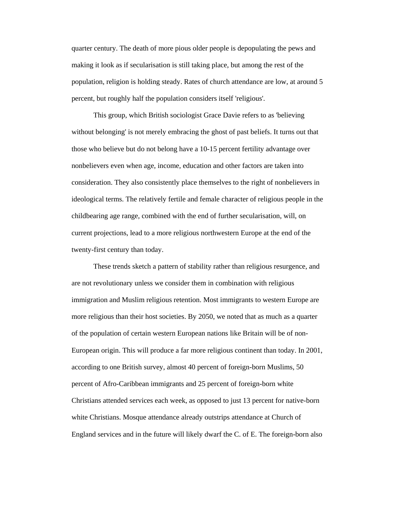quarter century. The death of more pious older people is depopulating the pews and making it look as if secularisation is still taking place, but among the rest of the population, religion is holding steady. Rates of church attendance are low, at around 5 percent, but roughly half the population considers itself 'religious'.

This group, which British sociologist Grace Davie refers to as 'believing without belonging' is not merely embracing the ghost of past beliefs. It turns out that those who believe but do not belong have a 10-15 percent fertility advantage over nonbelievers even when age, income, education and other factors are taken into consideration. They also consistently place themselves to the right of nonbelievers in ideological terms. The relatively fertile and female character of religious people in the childbearing age range, combined with the end of further secularisation, will, on current projections, lead to a more religious northwestern Europe at the end of the twenty-first century than today.

These trends sketch a pattern of stability rather than religious resurgence, and are not revolutionary unless we consider them in combination with religious immigration and Muslim religious retention. Most immigrants to western Europe are more religious than their host societies. By 2050, we noted that as much as a quarter of the population of certain western European nations like Britain will be of non-European origin. This will produce a far more religious continent than today. In 2001, according to one British survey, almost 40 percent of foreign-born Muslims, 50 percent of Afro-Caribbean immigrants and 25 percent of foreign-born white Christians attended services each week, as opposed to just 13 percent for native-born white Christians. Mosque attendance already outstrips attendance at Church of England services and in the future will likely dwarf the C. of E. The foreign-born also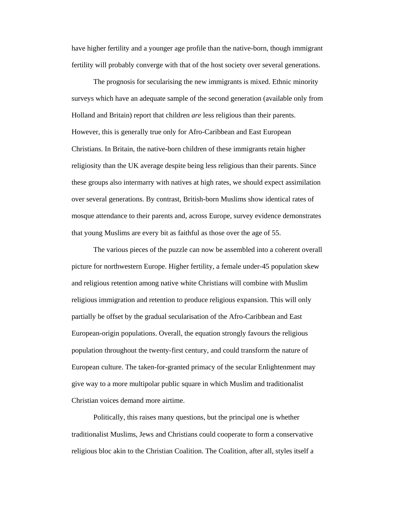have higher fertility and a younger age profile than the native-born, though immigrant fertility will probably converge with that of the host society over several generations.

The prognosis for secularising the new immigrants is mixed. Ethnic minority surveys which have an adequate sample of the second generation (available only from Holland and Britain) report that children *are* less religious than their parents. However, this is generally true only for Afro-Caribbean and East European Christians. In Britain, the native-born children of these immigrants retain higher religiosity than the UK average despite being less religious than their parents. Since these groups also intermarry with natives at high rates, we should expect assimilation over several generations. By contrast, British-born Muslims show identical rates of mosque attendance to their parents and, across Europe, survey evidence demonstrates that young Muslims are every bit as faithful as those over the age of 55.

The various pieces of the puzzle can now be assembled into a coherent overall picture for northwestern Europe. Higher fertility, a female under-45 population skew and religious retention among native white Christians will combine with Muslim religious immigration and retention to produce religious expansion. This will only partially be offset by the gradual secularisation of the Afro-Caribbean and East European-origin populations. Overall, the equation strongly favours the religious population throughout the twenty-first century, and could transform the nature of European culture. The taken-for-granted primacy of the secular Enlightenment may give way to a more multipolar public square in which Muslim and traditionalist Christian voices demand more airtime.

Politically, this raises many questions, but the principal one is whether traditionalist Muslims, Jews and Christians could cooperate to form a conservative religious bloc akin to the Christian Coalition. The Coalition, after all, styles itself a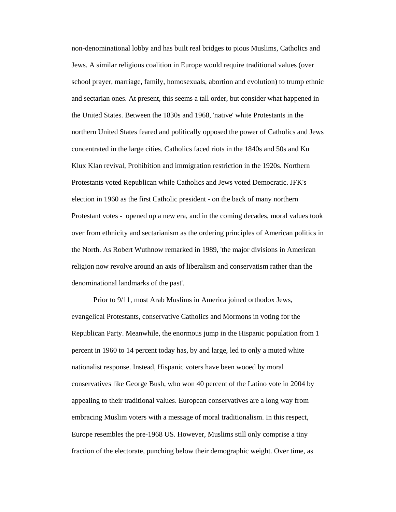non-denominational lobby and has built real bridges to pious Muslims, Catholics and Jews. A similar religious coalition in Europe would require traditional values (over school prayer, marriage, family, homosexuals, abortion and evolution) to trump ethnic and sectarian ones. At present, this seems a tall order, but consider what happened in the United States. Between the 1830s and 1968, 'native' white Protestants in the northern United States feared and politically opposed the power of Catholics and Jews concentrated in the large cities. Catholics faced riots in the 1840s and 50s and Ku Klux Klan revival, Prohibition and immigration restriction in the 1920s. Northern Protestants voted Republican while Catholics and Jews voted Democratic. JFK's election in 1960 as the first Catholic president - on the back of many northern Protestant votes - opened up a new era, and in the coming decades, moral values took over from ethnicity and sectarianism as the ordering principles of American politics in the North. As Robert Wuthnow remarked in 1989, 'the major divisions in American religion now revolve around an axis of liberalism and conservatism rather than the denominational landmarks of the past'.

Prior to 9/11, most Arab Muslims in America joined orthodox Jews, evangelical Protestants, conservative Catholics and Mormons in voting for the Republican Party. Meanwhile, the enormous jump in the Hispanic population from 1 percent in 1960 to 14 percent today has, by and large, led to only a muted white nationalist response. Instead, Hispanic voters have been wooed by moral conservatives like George Bush, who won 40 percent of the Latino vote in 2004 by appealing to their traditional values. European conservatives are a long way from embracing Muslim voters with a message of moral traditionalism. In this respect, Europe resembles the pre-1968 US. However, Muslims still only comprise a tiny fraction of the electorate, punching below their demographic weight. Over time, as